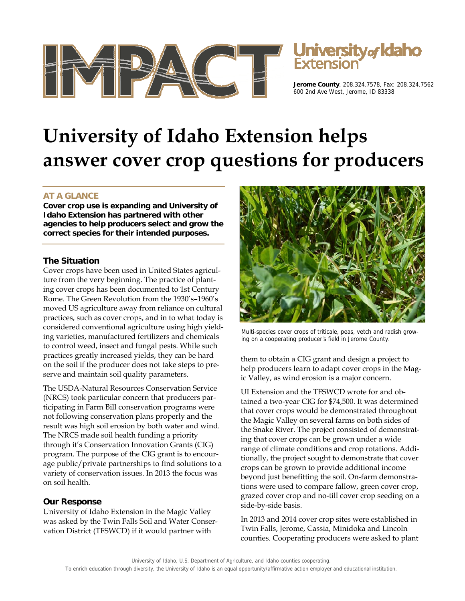



**Jerome County**, 208.324.7578, Fax: 208.324.7562 600 2nd Ave West, Jerome, ID 83338

# **University of Idaho Extension helps answer cover crop questions for producers**

# **AT A GLANCE**

**Cover crop use is expanding and University of Idaho Extension has partnered with other agencies to help producers select and grow the correct species for their intended purposes.** 

### **The Situation**

Cover crops have been used in United States agriculture from the very beginning. The practice of planting cover crops has been documented to 1st Century Rome. The Green Revolution from the 1930's–1960's moved US agriculture away from reliance on cultural practices, such as cover crops, and in to what today is considered conventional agriculture using high yielding varieties, manufactured fertilizers and chemicals to control weed, insect and fungal pests. While such practices greatly increased yields, they can be hard on the soil if the producer does not take steps to preserve and maintain soil quality parameters.

The USDA-Natural Resources Conservation Service (NRCS) took particular concern that producers participating in Farm Bill conservation programs were not following conservation plans properly and the result was high soil erosion by both water and wind. The NRCS made soil health funding a priority through it's Conservation Innovation Grants (CIG) program. The purpose of the CIG grant is to encourage public/private partnerships to find solutions to a variety of conservation issues. In 2013 the focus was on soil health.

## **Our Response**

University of Idaho Extension in the Magic Valley was asked by the Twin Falls Soil and Water Conservation District (TFSWCD) if it would partner with



Multi-species cover crops of triticale, peas, vetch and radish growing on a cooperating producer's field in Jerome County.

them to obtain a CIG grant and design a project to help producers learn to adapt cover crops in the Magic Valley, as wind erosion is a major concern.

UI Extension and the TFSWCD wrote for and obtained a two-year CIG for \$74,500. It was determined that cover crops would be demonstrated throughout the Magic Valley on several farms on both sides of the Snake River. The project consisted of demonstrating that cover crops can be grown under a wide range of climate conditions and crop rotations. Additionally, the project sought to demonstrate that cover crops can be grown to provide additional income beyond just benefitting the soil. On-farm demonstrations were used to compare fallow, green cover crop, grazed cover crop and no-till cover crop seeding on a side-by-side basis.

In 2013 and 2014 cover crop sites were established in Twin Falls, Jerome, Cassia, Minidoka and Lincoln counties. Cooperating producers were asked to plant